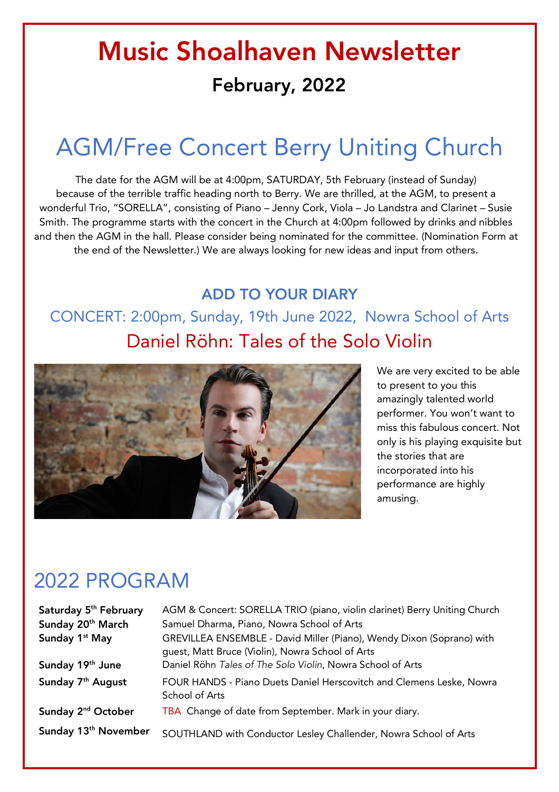# Music Shoalhaven Newsletter February, 2022

## AGM/Free Concert Berry Uniting Church

The date for the AGM will be at 4:00pm, SATURDAY, 5th February (instead of Sunday) because of the terrible traffic heading north to Berry. We are thrilled, at the AGM, to present a wonderful Trio, "SORELLA", consisting of Piano – Jenny Cork, Viola – Jo Landstra and Clarinet – Susie Smith. The programme starts with the concert in the Church at 4:00pm followed by drinks and nibbles and then the AGM in the hall. Please consider being nominated for the committee. (Nomination Form at the end of the Newsletter.) We are always looking for new ideas and input from others.

#### ADD TO YOUR DIARY

CONCERT: 2:00pm, Sunday, 19th June 2022, Nowra School of Arts Daniel Röhn: Tales of the Solo Violin



We are very excited to be able to present to you this amazingly talented world performer. You won't want to miss this fabulous concert. Not only is his playing exquisite but the stories that are incorporated into his performance are highly amusing.

### 2022 PROGRAM

| Saturday 5 <sup>th</sup> February | AGM & Concert: SORELLA TRIO (piano, violin clarinet) Berry Uniting Church                                                 |
|-----------------------------------|---------------------------------------------------------------------------------------------------------------------------|
| Sunday 20 <sup>th</sup> March     | Samuel Dharma, Piano, Nowra School of Arts                                                                                |
| Sunday 1 <sup>st</sup> May        | GREVILLEA ENSEMBLE - David Miller (Piano), Wendy Dixon (Soprano) with<br>guest, Matt Bruce (Violin), Nowra School of Arts |
| Sunday 19th June                  | Daniel Röhn Tales of The Solo Violin, Nowra School of Arts                                                                |
| Sunday 7 <sup>th</sup> August     | FOUR HANDS - Piano Duets Daniel Herscovitch and Clemens Leske, Nowra<br>School of Arts                                    |
| Sunday 2 <sup>nd</sup> October    | TBA Change of date from September. Mark in your diary.                                                                    |
| Sunday 13 <sup>th</sup> November  | SOUTHLAND with Conductor Lesley Challender, Nowra School of Arts                                                          |